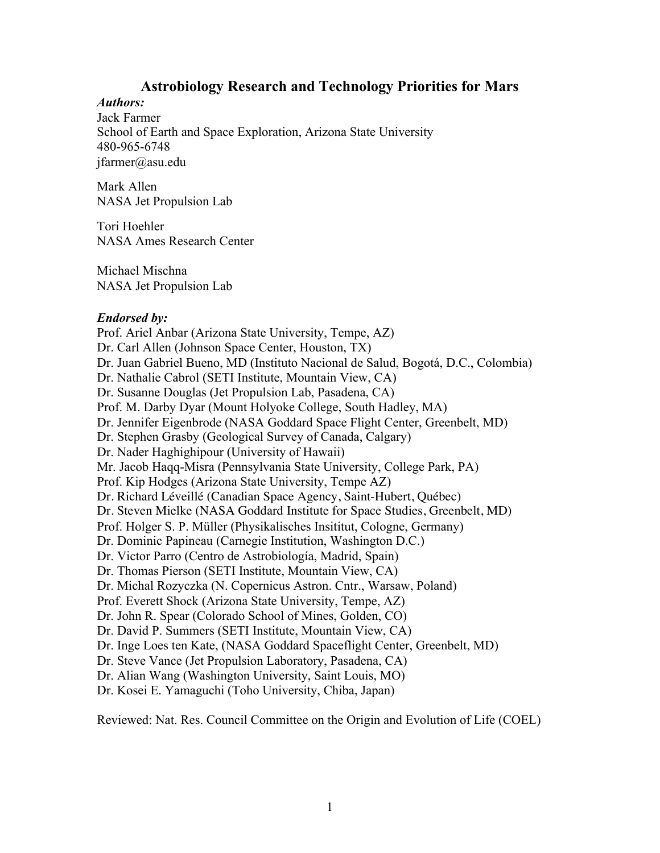## **Astrobiology Research and Technology Priorities for Mars**

*Authors:* Jack Farmer School of Earth and Space Exploration, Arizona State University 480-965-6748 jfarmer@asu.edu

Mark Allen NASA Jet Propulsion Lab

Tori Hoehler NASA Ames Research Center

Michael Mischna NASA Jet Propulsion Lab

#### *Endorsed by:*

Prof. Ariel Anbar (Arizona State University, Tempe, AZ) Dr. Carl Allen (Johnson Space Center, Houston, TX) Dr. Juan Gabriel Bueno, MD (Instituto Nacional de Salud, Bogotá, D.C., Colombia) Dr. Nathalie Cabrol (SETI Institute, Mountain View, CA) Dr. Susanne Douglas (Jet Propulsion Lab, Pasadena, CA) Prof. M. Darby Dyar (Mount Holyoke College, South Hadley, MA) Dr. Jennifer Eigenbrode (NASA Goddard Space Flight Center, Greenbelt, MD) Dr. Stephen Grasby (Geological Survey of Canada, Calgary) Dr. Nader Haghighipour (University of Hawaii) Mr. Jacob Haqq-Misra (Pennsylvania State University, College Park, PA) Prof. Kip Hodges (Arizona State University, Tempe AZ) Dr. Richard Léveillé (Canadian Space Agency, Saint-Hubert, Québec) Dr. Steven Mielke (NASA Goddard Institute for Space Studies, Greenbelt, MD) Prof. Holger S. P. Müller (Physikalisches Insititut, Cologne, Germany) Dr. Dominic Papineau (Carnegie Institution, Washington D.C.) Dr. Victor Parro (Centro de Astrobiología, Madrid, Spain) Dr. Thomas Pierson (SETI Institute, Mountain View, CA) Dr. Michal Rozyczka (N. Copernicus Astron. Cntr., Warsaw, Poland) Prof. Everett Shock (Arizona State University, Tempe, AZ) Dr. John R. Spear (Colorado School of Mines, Golden, CO) Dr. David P. Summers (SETI Institute, Mountain View, CA) Dr. Inge Loes ten Kate, (NASA Goddard Spaceflight Center, Greenbelt, MD) Dr. Steve Vance (Jet Propulsion Laboratory, Pasadena, CA) Dr. Alian Wang (Washington University, Saint Louis, MO) Dr. Kosei E. Yamaguchi (Toho University, Chiba, Japan)

Reviewed: Nat. Res. Council Committee on the Origin and Evolution of Life (COEL)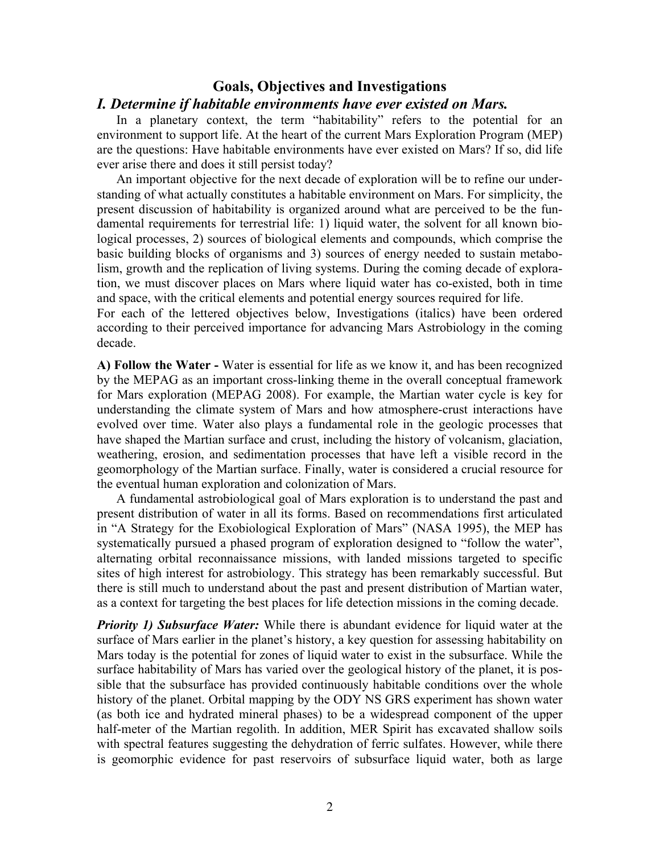## **Goals, Objectives and Investigations**

#### *I. Determine if habitable environments have ever existed on Mars.*

In a planetary context, the term "habitability" refers to the potential for an environment to support life. At the heart of the current Mars Exploration Program (MEP) are the questions: Have habitable environments have ever existed on Mars? If so, did life ever arise there and does it still persist today?

An important objective for the next decade of exploration will be to refine our understanding of what actually constitutes a habitable environment on Mars. For simplicity, the present discussion of habitability is organized around what are perceived to be the fundamental requirements for terrestrial life: 1) liquid water, the solvent for all known biological processes, 2) sources of biological elements and compounds, which comprise the basic building blocks of organisms and 3) sources of energy needed to sustain metabolism, growth and the replication of living systems. During the coming decade of exploration, we must discover places on Mars where liquid water has co-existed, both in time and space, with the critical elements and potential energy sources required for life.

For each of the lettered objectives below, Investigations (italics) have been ordered according to their perceived importance for advancing Mars Astrobiology in the coming decade.

**A) Follow the Water -** Water is essential for life as we know it, and has been recognized by the MEPAG as an important cross-linking theme in the overall conceptual framework for Mars exploration (MEPAG 2008). For example, the Martian water cycle is key for understanding the climate system of Mars and how atmosphere-crust interactions have evolved over time. Water also plays a fundamental role in the geologic processes that have shaped the Martian surface and crust, including the history of volcanism, glaciation, weathering, erosion, and sedimentation processes that have left a visible record in the geomorphology of the Martian surface. Finally, water is considered a crucial resource for the eventual human exploration and colonization of Mars.

A fundamental astrobiological goal of Mars exploration is to understand the past and present distribution of water in all its forms. Based on recommendations first articulated in "A Strategy for the Exobiological Exploration of Mars" (NASA 1995), the MEP has systematically pursued a phased program of exploration designed to "follow the water", alternating orbital reconnaissance missions, with landed missions targeted to specific sites of high interest for astrobiology. This strategy has been remarkably successful. But there is still much to understand about the past and present distribution of Martian water, as a context for targeting the best places for life detection missions in the coming decade.

*Priority 1) Subsurface Water:* While there is abundant evidence for liquid water at the surface of Mars earlier in the planet's history, a key question for assessing habitability on Mars today is the potential for zones of liquid water to exist in the subsurface. While the surface habitability of Mars has varied over the geological history of the planet, it is possible that the subsurface has provided continuously habitable conditions over the whole history of the planet. Orbital mapping by the ODY NS GRS experiment has shown water (as both ice and hydrated mineral phases) to be a widespread component of the upper half-meter of the Martian regolith. In addition, MER Spirit has excavated shallow soils with spectral features suggesting the dehydration of ferric sulfates. However, while there is geomorphic evidence for past reservoirs of subsurface liquid water, both as large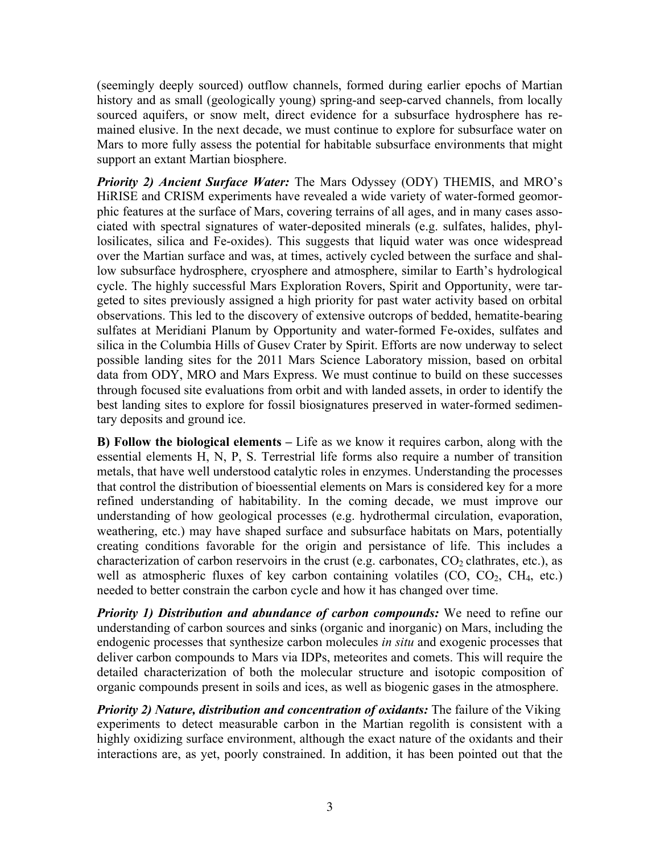(seemingly deeply sourced) outflow channels, formed during earlier epochs of Martian history and as small (geologically young) spring-and seep-carved channels, from locally sourced aquifers, or snow melt, direct evidence for a subsurface hydrosphere has remained elusive. In the next decade, we must continue to explore for subsurface water on Mars to more fully assess the potential for habitable subsurface environments that might support an extant Martian biosphere.

*Priority 2) Ancient Surface Water:* The Mars Odyssey (ODY) THEMIS, and MRO's HiRISE and CRISM experiments have revealed a wide variety of water-formed geomorphic features at the surface of Mars, covering terrains of all ages, and in many cases associated with spectral signatures of water-deposited minerals (e.g. sulfates, halides, phyllosilicates, silica and Fe-oxides). This suggests that liquid water was once widespread over the Martian surface and was, at times, actively cycled between the surface and shallow subsurface hydrosphere, cryosphere and atmosphere, similar to Earth's hydrological cycle. The highly successful Mars Exploration Rovers, Spirit and Opportunity, were targeted to sites previously assigned a high priority for past water activity based on orbital observations. This led to the discovery of extensive outcrops of bedded, hematite-bearing sulfates at Meridiani Planum by Opportunity and water-formed Fe-oxides, sulfates and silica in the Columbia Hills of Gusev Crater by Spirit. Efforts are now underway to select possible landing sites for the 2011 Mars Science Laboratory mission, based on orbital data from ODY, MRO and Mars Express. We must continue to build on these successes through focused site evaluations from orbit and with landed assets, in order to identify the best landing sites to explore for fossil biosignatures preserved in water-formed sedimentary deposits and ground ice.

**B) Follow the biological elements –** Life as we know it requires carbon, along with the essential elements H, N, P, S. Terrestrial life forms also require a number of transition metals, that have well understood catalytic roles in enzymes. Understanding the processes that control the distribution of bioessential elements on Mars is considered key for a more refined understanding of habitability. In the coming decade, we must improve our understanding of how geological processes (e.g. hydrothermal circulation, evaporation, weathering, etc.) may have shaped surface and subsurface habitats on Mars, potentially creating conditions favorable for the origin and persistance of life. This includes a characterization of carbon reservoirs in the crust (e.g. carbonates,  $CO<sub>2</sub>$  clathrates, etc.), as well as atmospheric fluxes of key carbon containing volatiles  $(CO, CO<sub>2</sub>, CH<sub>4</sub>, etc.)$ needed to better constrain the carbon cycle and how it has changed over time.

*Priority 1) Distribution and abundance of carbon compounds:* We need to refine our understanding of carbon sources and sinks (organic and inorganic) on Mars, including the endogenic processes that synthesize carbon molecules *in situ* and exogenic processes that deliver carbon compounds to Mars via IDPs, meteorites and comets. This will require the detailed characterization of both the molecular structure and isotopic composition of organic compounds present in soils and ices, as well as biogenic gases in the atmosphere.

*Priority 2) Nature, distribution and concentration of oxidants:* The failure of the Viking experiments to detect measurable carbon in the Martian regolith is consistent with a highly oxidizing surface environment, although the exact nature of the oxidants and their interactions are, as yet, poorly constrained. In addition, it has been pointed out that the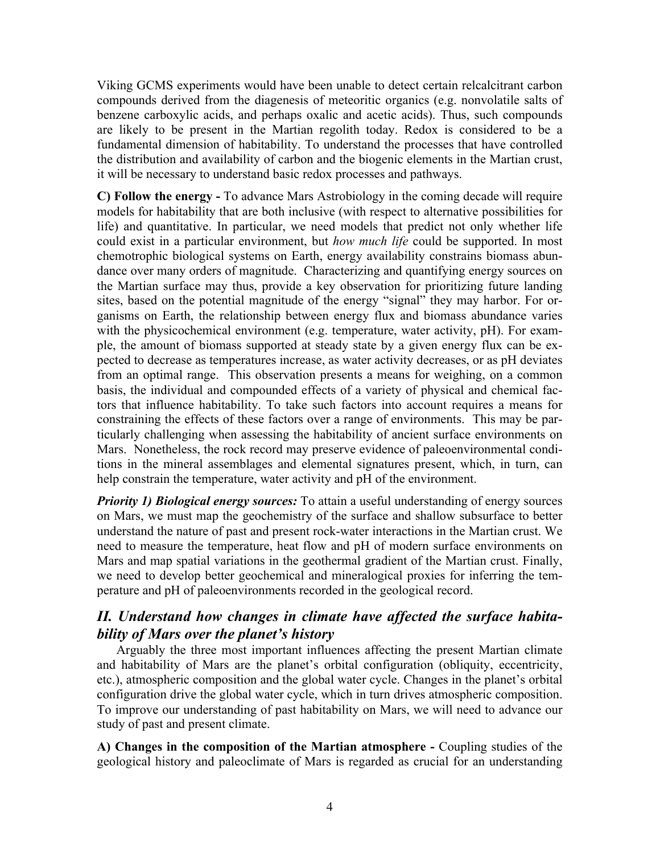Viking GCMS experiments would have been unable to detect certain relcalcitrant carbon compounds derived from the diagenesis of meteoritic organics (e.g. nonvolatile salts of benzene carboxylic acids, and perhaps oxalic and acetic acids). Thus, such compounds are likely to be present in the Martian regolith today. Redox is considered to be a fundamental dimension of habitability. To understand the processes that have controlled the distribution and availability of carbon and the biogenic elements in the Martian crust, it will be necessary to understand basic redox processes and pathways.

**C) Follow the energy -** To advance Mars Astrobiology in the coming decade will require models for habitability that are both inclusive (with respect to alternative possibilities for life) and quantitative. In particular, we need models that predict not only whether life could exist in a particular environment, but *how much life* could be supported. In most chemotrophic biological systems on Earth, energy availability constrains biomass abundance over many orders of magnitude. Characterizing and quantifying energy sources on the Martian surface may thus, provide a key observation for prioritizing future landing sites, based on the potential magnitude of the energy "signal" they may harbor. For organisms on Earth, the relationship between energy flux and biomass abundance varies with the physicochemical environment (e.g. temperature, water activity, pH). For example, the amount of biomass supported at steady state by a given energy flux can be expected to decrease as temperatures increase, as water activity decreases, or as pH deviates from an optimal range. This observation presents a means for weighing, on a common basis, the individual and compounded effects of a variety of physical and chemical factors that influence habitability. To take such factors into account requires a means for constraining the effects of these factors over a range of environments. This may be particularly challenging when assessing the habitability of ancient surface environments on Mars. Nonetheless, the rock record may preserve evidence of paleoenvironmental conditions in the mineral assemblages and elemental signatures present, which, in turn, can help constrain the temperature, water activity and pH of the environment.

*Priority 1) Biological energy sources:* To attain a useful understanding of energy sources on Mars, we must map the geochemistry of the surface and shallow subsurface to better understand the nature of past and present rock-water interactions in the Martian crust. We need to measure the temperature, heat flow and pH of modern surface environments on Mars and map spatial variations in the geothermal gradient of the Martian crust. Finally, we need to develop better geochemical and mineralogical proxies for inferring the temperature and pH of paleoenvironments recorded in the geological record.

# *II. Understand how changes in climate have affected the surface habitability of Mars over the planet's history*

Arguably the three most important influences affecting the present Martian climate and habitability of Mars are the planet's orbital configuration (obliquity, eccentricity, etc.), atmospheric composition and the global water cycle. Changes in the planet's orbital configuration drive the global water cycle, which in turn drives atmospheric composition. To improve our understanding of past habitability on Mars, we will need to advance our study of past and present climate.

**A) Changes in the composition of the Martian atmosphere -** Coupling studies of the geological history and paleoclimate of Mars is regarded as crucial for an understanding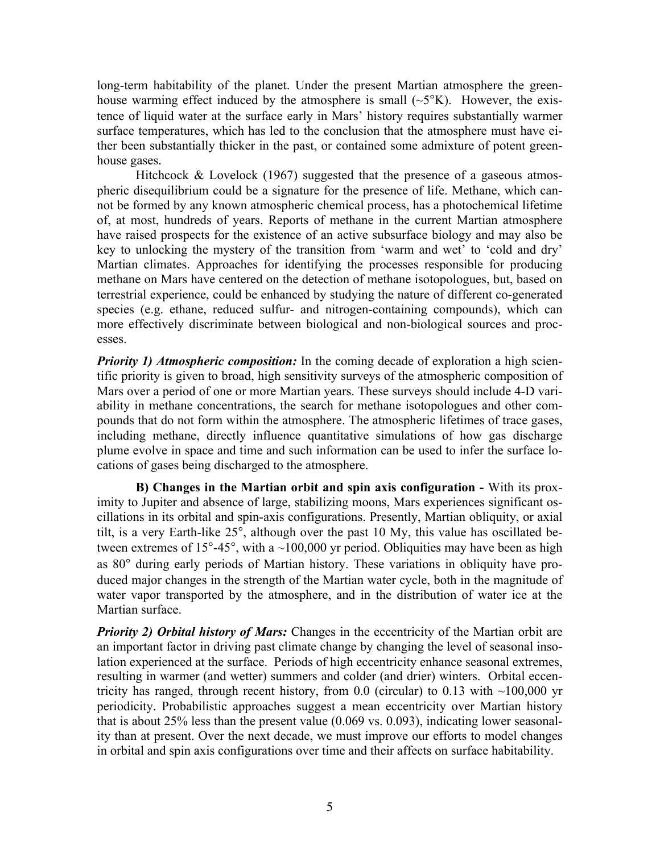long-term habitability of the planet. Under the present Martian atmosphere the greenhouse warming effect induced by the atmosphere is small  $({\sim}5^{\circ}K)$ . However, the existence of liquid water at the surface early in Mars' history requires substantially warmer surface temperatures, which has led to the conclusion that the atmosphere must have either been substantially thicker in the past, or contained some admixture of potent greenhouse gases.

Hitchcock & Lovelock  $(1967)$  suggested that the presence of a gaseous atmospheric disequilibrium could be a signature for the presence of life. Methane, which cannot be formed by any known atmospheric chemical process, has a photochemical lifetime of, at most, hundreds of years. Reports of methane in the current Martian atmosphere have raised prospects for the existence of an active subsurface biology and may also be key to unlocking the mystery of the transition from 'warm and wet' to 'cold and dry' Martian climates. Approaches for identifying the processes responsible for producing methane on Mars have centered on the detection of methane isotopologues, but, based on terrestrial experience, could be enhanced by studying the nature of different co-generated species (e.g. ethane, reduced sulfur- and nitrogen-containing compounds), which can more effectively discriminate between biological and non-biological sources and processes.

*Priority 1) Atmospheric composition:* In the coming decade of exploration a high scientific priority is given to broad, high sensitivity surveys of the atmospheric composition of Mars over a period of one or more Martian years. These surveys should include 4-D variability in methane concentrations, the search for methane isotopologues and other compounds that do not form within the atmosphere. The atmospheric lifetimes of trace gases, including methane, directly influence quantitative simulations of how gas discharge plume evolve in space and time and such information can be used to infer the surface locations of gases being discharged to the atmosphere.

**B) Changes in the Martian orbit and spin axis configuration -** With its proximity to Jupiter and absence of large, stabilizing moons, Mars experiences significant oscillations in its orbital and spin-axis configurations. Presently, Martian obliquity, or axial tilt, is a very Earth-like 25°, although over the past 10 My, this value has oscillated between extremes of 15 $\degree$ -45 $\degree$ , with a  $\sim$ 100,000 yr period. Obliquities may have been as high as 80° during early periods of Martian history. These variations in obliquity have produced major changes in the strength of the Martian water cycle, both in the magnitude of water vapor transported by the atmosphere, and in the distribution of water ice at the Martian surface.

*Priority 2) Orbital history of Mars:* Changes in the eccentricity of the Martian orbit are an important factor in driving past climate change by changing the level of seasonal insolation experienced at the surface. Periods of high eccentricity enhance seasonal extremes, resulting in warmer (and wetter) summers and colder (and drier) winters. Orbital eccentricity has ranged, through recent history, from  $0.0$  (circular) to  $0.13$  with  $~100,000$  yr periodicity. Probabilistic approaches suggest a mean eccentricity over Martian history that is about 25% less than the present value (0.069 vs. 0.093), indicating lower seasonality than at present. Over the next decade, we must improve our efforts to model changes in orbital and spin axis configurations over time and their affects on surface habitability.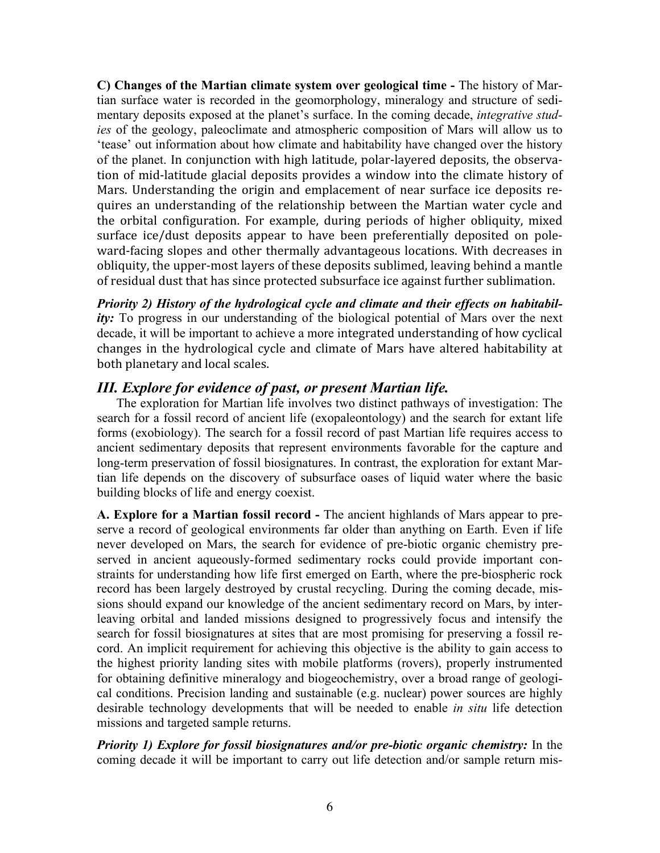**C) Changes of the Martian climate system over geological time -** The history of Martian surface water is recorded in the geomorphology, mineralogy and structure of sedimentary deposits exposed at the planet's surface. In the coming decade, *integrative studies* of the geology, paleoclimate and atmospheric composition of Mars will allow us to 'tease' out information about how climate and habitability have changed over the history of the planet. In conjunction with high latitude, polar-layered deposits, the observation of mid-latitude glacial deposits provides a window into the climate history of Mars. Understanding the origin and emplacement of near surface ice deposits requires an understanding of the relationship between the Martian water cycle and the orbital configuration. For example, during periods of higher obliquity, mixed surface ice/dust deposits appear to have been preferentially deposited on poleward-facing slopes and other thermally advantageous locations. With decreases in obliquity, the upper-most layers of these deposits sublimed, leaving behind a mantle of residual dust that has since protected subsurface ice against further sublimation.

*Priority 2) History of the hydrological cycle and climate and their effects on habitabil*ity: To progress in our understanding of the biological potential of Mars over the next decade, it will be important to achieve a more integrated understanding of how cyclical changes in the hydrological cycle and climate of Mars have altered habitability at both planetary and local scales.

## *III. Explore for evidence of past, or present Martian life.*

The exploration for Martian life involves two distinct pathways of investigation: The search for a fossil record of ancient life (exopaleontology) and the search for extant life forms (exobiology). The search for a fossil record of past Martian life requires access to ancient sedimentary deposits that represent environments favorable for the capture and long-term preservation of fossil biosignatures. In contrast, the exploration for extant Martian life depends on the discovery of subsurface oases of liquid water where the basic building blocks of life and energy coexist.

**A. Explore for a Martian fossil record -** The ancient highlands of Mars appear to preserve a record of geological environments far older than anything on Earth. Even if life never developed on Mars, the search for evidence of pre-biotic organic chemistry preserved in ancient aqueously-formed sedimentary rocks could provide important constraints for understanding how life first emerged on Earth, where the pre-biospheric rock record has been largely destroyed by crustal recycling. During the coming decade, missions should expand our knowledge of the ancient sedimentary record on Mars, by interleaving orbital and landed missions designed to progressively focus and intensify the search for fossil biosignatures at sites that are most promising for preserving a fossil record. An implicit requirement for achieving this objective is the ability to gain access to the highest priority landing sites with mobile platforms (rovers), properly instrumented for obtaining definitive mineralogy and biogeochemistry, over a broad range of geological conditions. Precision landing and sustainable (e.g. nuclear) power sources are highly desirable technology developments that will be needed to enable *in situ* life detection missions and targeted sample returns.

*Priority 1) Explore for fossil biosignatures and/or pre-biotic organic chemistry:* In the coming decade it will be important to carry out life detection and/or sample return mis-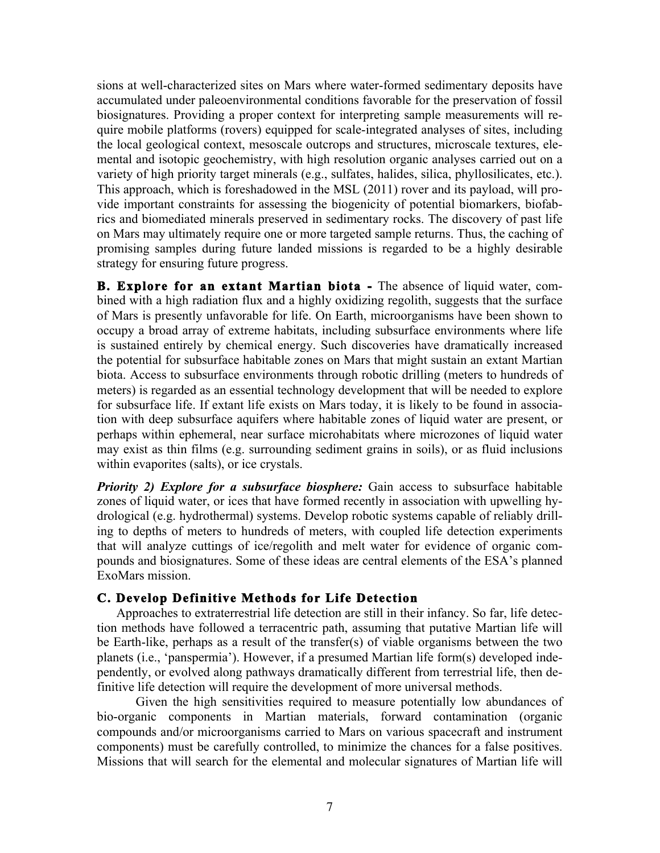sions at well-characterized sites on Mars where water-formed sedimentary deposits have accumulated under paleoenvironmental conditions favorable for the preservation of fossil biosignatures. Providing a proper context for interpreting sample measurements will require mobile platforms (rovers) equipped for scale-integrated analyses of sites, including the local geological context, mesoscale outcrops and structures, microscale textures, elemental and isotopic geochemistry, with high resolution organic analyses carried out on a variety of high priority target minerals (e.g., sulfates, halides, silica, phyllosilicates, etc.). This approach, which is foreshadowed in the MSL (2011) rover and its payload, will provide important constraints for assessing the biogenicity of potential biomarkers, biofabrics and biomediated minerals preserved in sedimentary rocks. The discovery of past life on Mars may ultimately require one or more targeted sample returns. Thus, the caching of promising samples during future landed missions is regarded to be a highly desirable strategy for ensuring future progress.

**B. Explore for an extant Martian biota -** The absence of liquid water, combined with a high radiation flux and a highly oxidizing regolith, suggests that the surface of Mars is presently unfavorable for life. On Earth, microorganisms have been shown to occupy a broad array of extreme habitats, including subsurface environments where life is sustained entirely by chemical energy. Such discoveries have dramatically increased the potential for subsurface habitable zones on Mars that might sustain an extant Martian biota. Access to subsurface environments through robotic drilling (meters to hundreds of meters) is regarded as an essential technology development that will be needed to explore for subsurface life. If extant life exists on Mars today, it is likely to be found in association with deep subsurface aquifers where habitable zones of liquid water are present, or perhaps within ephemeral, near surface microhabitats where microzones of liquid water may exist as thin films (e.g. surrounding sediment grains in soils), or as fluid inclusions within evaporites (salts), or ice crystals.

*Priority 2) Explore for a subsurface biosphere:* Gain access to subsurface habitable zones of liquid water, or ices that have formed recently in association with upwelling hydrological (e.g. hydrothermal) systems. Develop robotic systems capable of reliably drilling to depths of meters to hundreds of meters, with coupled life detection experiments that will analyze cuttings of ice/regolith and melt water for evidence of organic compounds and biosignatures. Some of these ideas are central elements of the ESA's planned ExoMars mission.

### **C. Develop Definitive Methods for Life Detection**

Approaches to extraterrestrial life detection are still in their infancy. So far, life detection methods have followed a terracentric path, assuming that putative Martian life will be Earth-like, perhaps as a result of the transfer(s) of viable organisms between the two planets (i.e., 'panspermia'). However, if a presumed Martian life form(s) developed independently, or evolved along pathways dramatically different from terrestrial life, then definitive life detection will require the development of more universal methods.

Given the high sensitivities required to measure potentially low abundances of bio-organic components in Martian materials, forward contamination (organic compounds and/or microorganisms carried to Mars on various spacecraft and instrument components) must be carefully controlled, to minimize the chances for a false positives. Missions that will search for the elemental and molecular signatures of Martian life will